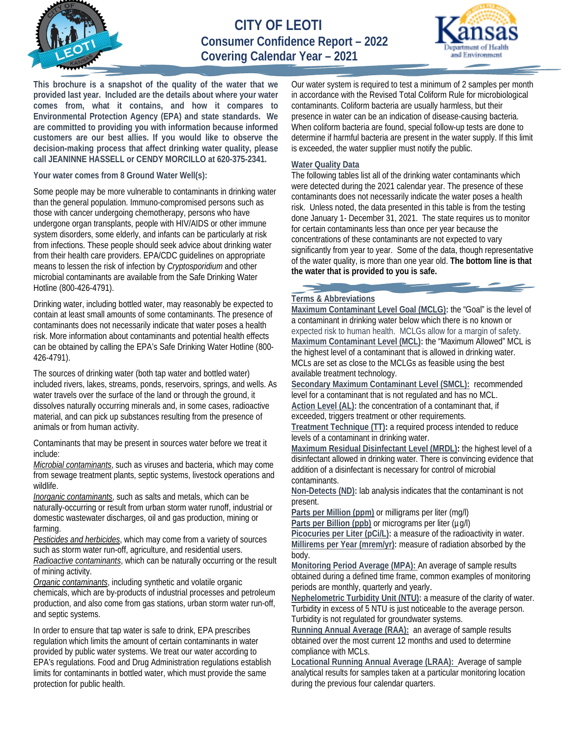

**CITY OF LEOTI Consumer Confidence Report – 2022 Covering Calendar Year – 2021**



**This brochure is a snapshot of the quality of the water that we provided last year. Included are the details about where your water comes from, what it contains, and how it compares to Environmental Protection Agency (EPA) and state standards. We are committed to providing you with information because informed customers are our best allies. If you would like to observe the decision-making process that affect drinking water quality, please call JEANINNE HASSELL or CENDY MORCILLO at 620-375-2341.**

**Your water comes from 8 Ground Water Well(s):**

Some people may be more vulnerable to contaminants in drinking water than the general population. Immuno-compromised persons such as those with cancer undergoing chemotherapy, persons who have undergone organ transplants, people with HIV/AIDS or other immune system disorders, some elderly, and infants can be particularly at risk from infections. These people should seek advice about drinking water from their health care providers. EPA/CDC guidelines on appropriate means to lessen the risk of infection by *Cryptosporidium* and other microbial contaminants are available from the Safe Drinking Water Hotline (800-426-4791).

Drinking water, including bottled water, may reasonably be expected to contain at least small amounts of some contaminants. The presence of contaminants does not necessarily indicate that water poses a health risk. More information about contaminants and potential health effects can be obtained by calling the EPA's Safe Drinking Water Hotline (800- 426-4791).

The sources of drinking water (both tap water and bottled water) included rivers, lakes, streams, ponds, reservoirs, springs, and wells. As water travels over the surface of the land or through the ground, it dissolves naturally occurring minerals and, in some cases, radioactive material, and can pick up substances resulting from the presence of animals or from human activity.

Contaminants that may be present in sources water before we treat it include:

*Microbial contaminants*, such as viruses and bacteria, which may come from sewage treatment plants, septic systems, livestock operations and wildlife.

*Inorganic contaminants*, such as salts and metals, which can be naturally-occurring or result from urban storm water runoff, industrial or domestic wastewater discharges, oil and gas production, mining or farming.

*Pesticides and herbicides*, which may come from a variety of sources such as storm water run-off, agriculture, and residential users. *Radioactive contaminants*, which can be naturally occurring or the result of mining activity.

*Organic contaminants*, including synthetic and volatile organic chemicals, which are by-products of industrial processes and petroleum production, and also come from gas stations, urban storm water run-off, and septic systems.

In order to ensure that tap water is safe to drink, EPA prescribes regulation which limits the amount of certain contaminants in water provided by public water systems. We treat our water according to EPA's regulations. Food and Drug Administration regulations establish limits for contaminants in bottled water, which must provide the same protection for public health.

Our water system is required to test a minimum of 2 samples per month in accordance with the Revised Total Coliform Rule for microbiological contaminants. Coliform bacteria are usually harmless, but their presence in water can be an indication of disease-causing bacteria. When coliform bacteria are found, special follow-up tests are done to determine if harmful bacteria are present in the water supply. If this limit is exceeded, the water supplier must notify the public.

## **Water Quality Data**

The following tables list all of the drinking water contaminants which were detected during the 2021 calendar year. The presence of these contaminants does not necessarily indicate the water poses a health risk. Unless noted, the data presented in this table is from the testing done January 1- December 31, 2021. The state requires us to monitor for certain contaminants less than once per year because the concentrations of these contaminants are not expected to vary significantly from year to year. Some of the data, though representative of the water quality, is more than one year old. **The bottom line is that the water that is provided to you is safe.**

## **Terms & Abbreviations**

**Maximum Contaminant Level Goal (MCLG):** the "Goal" is the level of a contaminant in drinking water below which there is no known or expected risk to human health. MCLGs allow for a margin of safety. **Maximum Contaminant Level (MCL):** the "Maximum Allowed" MCL is the highest level of a contaminant that is allowed in drinking water. MCLs are set as close to the MCLGs as feasible using the best available treatment technology.

**Secondary Maximum Contaminant Level (SMCL):** recommended level for a contaminant that is not regulated and has no MCL. **Action Level (AL):** the concentration of a contaminant that, if exceeded, triggers treatment or other requirements.

**Treatment Technique (TT):** a required process intended to reduce levels of a contaminant in drinking water.

**Maximum Residual Disinfectant Level (MRDL):** the highest level of a disinfectant allowed in drinking water. There is convincing evidence that addition of a disinfectant is necessary for control of microbial contaminants.

**Non-Detects (ND):** lab analysis indicates that the contaminant is not present.

**Parts per Million (ppm)** or milligrams per liter (mg/l) Parts per Billion (ppb) or micrograms per liter ( $\mu$ g/l)

**Picocuries per Liter (pCi/L):** a measure of the radioactivity in water. **Millirems per Year (mrem/yr):** measure of radiation absorbed by the body.

**Monitoring Period Average (MPA):** An average of sample results obtained during a defined time frame, common examples of monitoring periods are monthly, quarterly and yearly.

**Nephelometric Turbidity Unit (NTU):** a measure of the clarity of water. Turbidity in excess of 5 NTU is just noticeable to the average person. Turbidity is not regulated for groundwater systems.

**Running Annual Average (RAA):** an average of sample results obtained over the most current 12 months and used to determine compliance with MCLs.

**Locational Running Annual Average (LRAA):** Average of sample analytical results for samples taken at a particular monitoring location during the previous four calendar quarters.